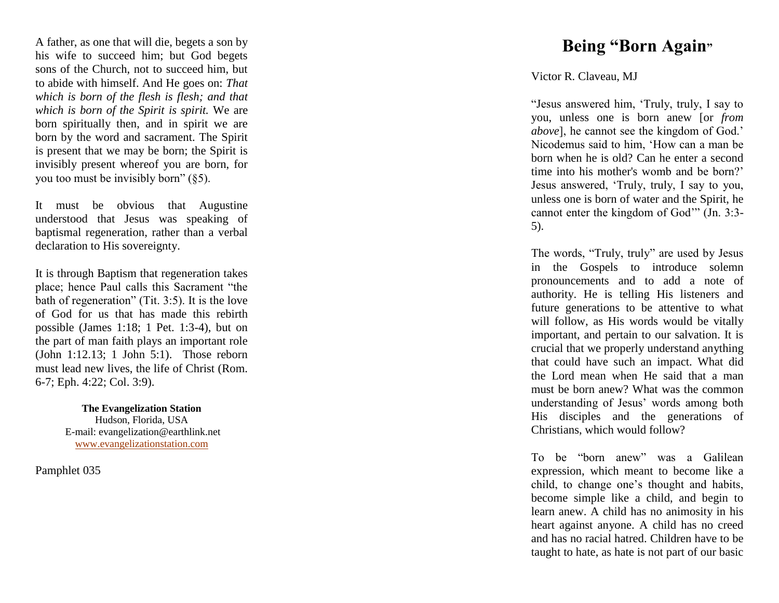A father, as one that will die, begets a son by his wife to succeed him; but God begets sons of the Church, not to succeed him, but to abide with himself. And He goes on: *That which is born of the flesh is flesh; and that which is born of the Spirit is spirit.* We are born spiritually then, and in spirit we are born by the word and sacrament. The Spirit is present that we may be born; the Spirit is invisibly present whereof you are born, for you too must be invisibly born" (§5).

It must be obvious that Augustine understood that Jesus was speaking of baptismal regeneration, rather than a verbal declaration to His sovereignty.

It is through Baptism that regeneration takes place; hence Paul calls this Sacrament "the bath of regeneration" (Tit. 3:5). It is the love of God for us that has made this rebirth possible (James 1:18; 1 Pet. 1:3 -4), but on the part of man faith plays an important role (John 1:12.13; 1 John 5:1). Those reborn must lead new lives, the life of Christ (Rom. 6-7; Eph. 4:22; Col. 3:9).

> **The Evangelization Station** Hudson, Florida, USA E -mail: evangelization@earthlink.net [www.evangelizationstation.com](http://www.pjpiisoe.org/)

Pamphlet 0 3 5

## **Being "Born Again "**

## Victor R. Claveau, MJ

"Jesus answered him, 'Truly, truly, I say to you, unless one is born anew [or *from above*], he cannot see the kingdom of God.' Nicodemus said to him, 'How can a man be born when he is old? Can he enter a second time into his mother's womb and be born?' Jesus answered, 'Truly, truly, I say to you, unless one is born of water and the Spirit, he cannot enter the kingdom of God'" (Jn. 3:3 - 5).

The words, "Truly, truly" are used by Jesus in the Gospels to introduce solemn pronouncements and to add a note of authority. He is telling His listeners and future generations to be attentive to what will follow, as His words would be vitally important, and pertain to our salvation. It is crucial that we properly understand anything that could have such an impact. What did the Lord mean when He said that a man must be born anew? What was the common understanding of Jesus' words among both His disciples and the generations of Christians, which would follow?

To be "born anew" was a Galilean expression, which meant to become like a child, to change one's thought and habits, become simple like a child, and begin to learn anew. A child has no animosity in his heart against anyone. A child has no creed and has no racial hatred. Children have to be taught to hate, as hate is not part of our basic